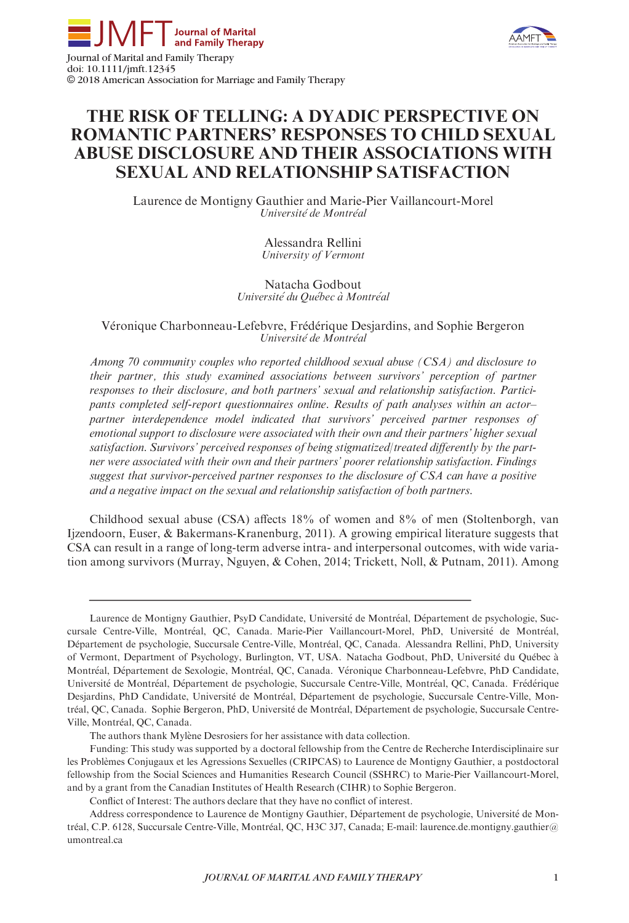





# THE RISK OF TELLING: A DYADIC PERSPECTIVE ON ROMANTIC PARTNERS' RESPONSES TO CHILD SEXUAL ABUSE DISCLOSURE AND THEIR ASSOCIATIONS WITH SEXUAL AND RELATIONSHIP SATISFACTION

Laurence de Montigny Gauthier and Marie-Pier Vaillancourt-Morel Université de Montréal

> Alessandra Rellini University of Vermont

Natacha Godbout Université du Québec à Montréal

# Veronique Charbonneau-Lefebvre, Frederique Desjardins, and Sophie Bergeron Université de Montréal

Among 70 community couples who reported childhood sexual abuse (CSA) and disclosure to their partner, this study examined associations between survivors' perception of partner responses to their disclosure, and both partners' sexual and relationship satisfaction. Participants completed self-report questionnaires online. Results of path analyses within an actor– partner interdependence model indicated that survivors' perceived partner responses of emotional support to disclosure were associated with their own and their partners' higher sexual satisfaction. Survivors' perceived responses of being stigmatized/treated differently by the partner were associated with their own and their partners' poorer relationship satisfaction. Findings suggest that survivor-perceived partner responses to the disclosure of CSA can have a positive and a negative impact on the sexual and relationship satisfaction of both partners.

Childhood sexual abuse (CSA) affects 18% of women and 8% of men (Stoltenborgh, van Ijzendoorn, Euser, & Bakermans-Kranenburg, 2011). A growing empirical literature suggests that CSA can result in a range of long-term adverse intra- and interpersonal outcomes, with wide variation among survivors (Murray, Nguyen, & Cohen, 2014; Trickett, Noll, & Putnam, 2011). Among

The authors thank Mylène Desrosiers for her assistance with data collection.

Funding: This study was supported by a doctoral fellowship from the Centre de Recherche Interdisciplinaire sur les Problèmes Conjugaux et les Agressions Sexuelles (CRIPCAS) to Laurence de Montigny Gauthier, a postdoctoral fellowship from the Social Sciences and Humanities Research Council (SSHRC) to Marie-Pier Vaillancourt-Morel, and by a grant from the Canadian Institutes of Health Research (CIHR) to Sophie Bergeron.

Conflict of Interest: The authors declare that they have no conflict of interest.

Laurence de Montigny Gauthier, PsyD Candidate, Université de Montréal, Département de psychologie, Succursale Centre-Ville, Montreal, QC, Canada. Marie-Pier Vaillancourt-Morel, PhD, Universite de Montreal, Departement de psychologie, Succursale Centre-Ville, Montreal, QC, Canada. Alessandra Rellini, PhD, University of Vermont, Department of Psychology, Burlington, VT, USA. Natacha Godbout, PhD, Universite du Quebec a Montréal, Département de Sexologie, Montréal, QC, Canada. Véronique Charbonneau-Lefebvre, PhD Candidate, Universite de Montreal, Departement de psychologie, Succursale Centre-Ville, Montreal, QC, Canada. Frederique Desjardins, PhD Candidate, Université de Montréal, Département de psychologie, Succursale Centre-Ville, Montréal, QC, Canada. Sophie Bergeron, PhD, Université de Montréal, Département de psychologie, Succursale Centre-Ville, Montréal, OC, Canada.

Address correspondence to Laurence de Montigny Gauthier, Département de psychologie, Université de Montréal, C.P. 6128, Succursale Centre-Ville, Montréal, QC, H3C 3J7, Canada; E-mail: laurence.de.montigny.gauthier@ umontreal.ca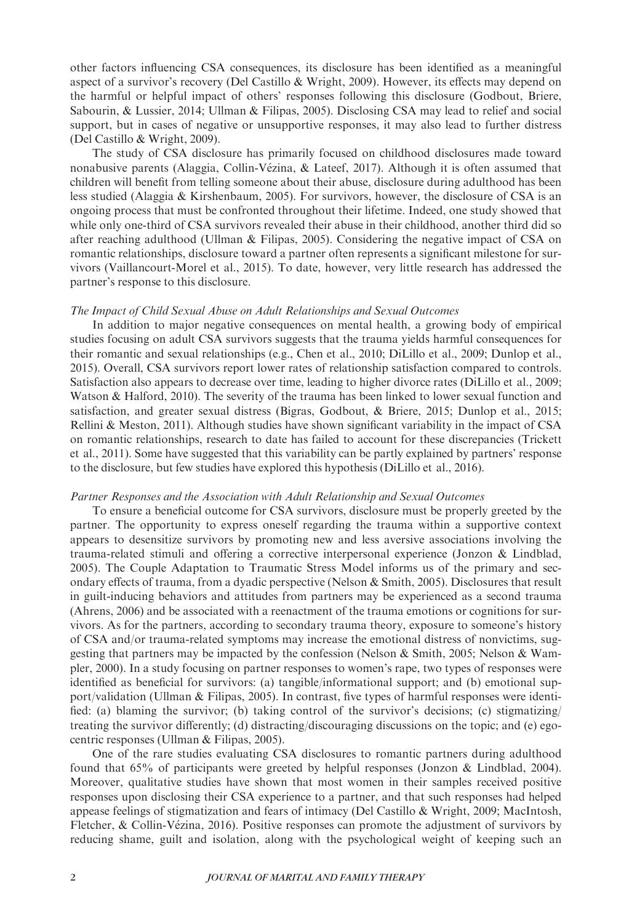other factors influencing CSA consequences, its disclosure has been identified as a meaningful aspect of a survivor's recovery (Del Castillo & Wright, 2009). However, its effects may depend on the harmful or helpful impact of others' responses following this disclosure (Godbout, Briere, Sabourin, & Lussier, 2014; Ullman & Filipas, 2005). Disclosing CSA may lead to relief and social support, but in cases of negative or unsupportive responses, it may also lead to further distress (Del Castillo & Wright, 2009).

The study of CSA disclosure has primarily focused on childhood disclosures made toward nonabusive parents (Alaggia, Collin-Vezina, & Lateef, 2017). Although it is often assumed that children will benefit from telling someone about their abuse, disclosure during adulthood has been less studied (Alaggia & Kirshenbaum, 2005). For survivors, however, the disclosure of CSA is an ongoing process that must be confronted throughout their lifetime. Indeed, one study showed that while only one-third of CSA survivors revealed their abuse in their childhood, another third did so after reaching adulthood (Ullman & Filipas, 2005). Considering the negative impact of CSA on romantic relationships, disclosure toward a partner often represents a significant milestone for survivors (Vaillancourt-Morel et al., 2015). To date, however, very little research has addressed the partner's response to this disclosure.

#### The Impact of Child Sexual Abuse on Adult Relationships and Sexual Outcomes

In addition to major negative consequences on mental health, a growing body of empirical studies focusing on adult CSA survivors suggests that the trauma yields harmful consequences for their romantic and sexual relationships (e.g., Chen et al., 2010; DiLillo et al., 2009; Dunlop et al., 2015). Overall, CSA survivors report lower rates of relationship satisfaction compared to controls. Satisfaction also appears to decrease over time, leading to higher divorce rates (DiLillo et al., 2009; Watson & Halford, 2010). The severity of the trauma has been linked to lower sexual function and satisfaction, and greater sexual distress (Bigras, Godbout, & Briere, 2015; Dunlop et al., 2015; Rellini & Meston, 2011). Although studies have shown significant variability in the impact of CSA on romantic relationships, research to date has failed to account for these discrepancies (Trickett et al., 2011). Some have suggested that this variability can be partly explained by partners' response to the disclosure, but few studies have explored this hypothesis (DiLillo et al., 2016).

## Partner Responses and the Association with Adult Relationship and Sexual Outcomes

To ensure a beneficial outcome for CSA survivors, disclosure must be properly greeted by the partner. The opportunity to express oneself regarding the trauma within a supportive context appears to desensitize survivors by promoting new and less aversive associations involving the trauma-related stimuli and offering a corrective interpersonal experience (Jonzon & Lindblad, 2005). The Couple Adaptation to Traumatic Stress Model informs us of the primary and secondary effects of trauma, from a dyadic perspective (Nelson & Smith, 2005). Disclosures that result in guilt-inducing behaviors and attitudes from partners may be experienced as a second trauma (Ahrens, 2006) and be associated with a reenactment of the trauma emotions or cognitions for survivors. As for the partners, according to secondary trauma theory, exposure to someone's history of CSA and/or trauma-related symptoms may increase the emotional distress of nonvictims, suggesting that partners may be impacted by the confession (Nelson & Smith, 2005; Nelson & Wampler, 2000). In a study focusing on partner responses to women's rape, two types of responses were identified as beneficial for survivors: (a) tangible/informational support; and (b) emotional support/validation (Ullman & Filipas, 2005). In contrast, five types of harmful responses were identified: (a) blaming the survivor; (b) taking control of the survivor's decisions; (c) stigmatizing/ treating the survivor differently; (d) distracting/discouraging discussions on the topic; and (e) egocentric responses (Ullman & Filipas, 2005).

One of the rare studies evaluating CSA disclosures to romantic partners during adulthood found that 65% of participants were greeted by helpful responses (Jonzon & Lindblad, 2004). Moreover, qualitative studies have shown that most women in their samples received positive responses upon disclosing their CSA experience to a partner, and that such responses had helped appease feelings of stigmatization and fears of intimacy (Del Castillo & Wright, 2009; MacIntosh, Fletcher, & Collin-Vézina, 2016). Positive responses can promote the adjustment of survivors by reducing shame, guilt and isolation, along with the psychological weight of keeping such an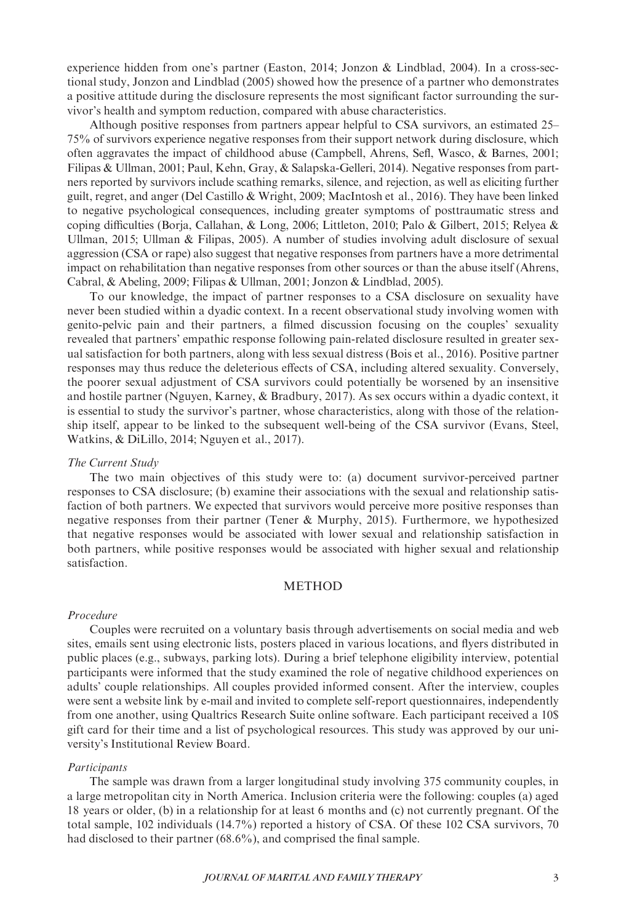experience hidden from one's partner (Easton, 2014; Jonzon & Lindblad, 2004). In a cross-sectional study, Jonzon and Lindblad (2005) showed how the presence of a partner who demonstrates a positive attitude during the disclosure represents the most significant factor surrounding the survivor's health and symptom reduction, compared with abuse characteristics.

Although positive responses from partners appear helpful to CSA survivors, an estimated 25– 75% of survivors experience negative responses from their support network during disclosure, which often aggravates the impact of childhood abuse (Campbell, Ahrens, Sefl, Wasco, & Barnes, 2001; Filipas & Ullman, 2001; Paul, Kehn, Gray, & Salapska-Gelleri, 2014). Negative responses from partners reported by survivors include scathing remarks, silence, and rejection, as well as eliciting further guilt, regret, and anger (Del Castillo & Wright, 2009; MacIntosh et al., 2016). They have been linked to negative psychological consequences, including greater symptoms of posttraumatic stress and coping difficulties (Borja, Callahan, & Long, 2006; Littleton, 2010; Palo & Gilbert, 2015; Relyea & Ullman, 2015; Ullman & Filipas, 2005). A number of studies involving adult disclosure of sexual aggression (CSA or rape) also suggest that negative responses from partners have a more detrimental impact on rehabilitation than negative responses from other sources or than the abuse itself (Ahrens, Cabral, & Abeling, 2009; Filipas & Ullman, 2001; Jonzon & Lindblad, 2005).

To our knowledge, the impact of partner responses to a CSA disclosure on sexuality have never been studied within a dyadic context. In a recent observational study involving women with genito-pelvic pain and their partners, a filmed discussion focusing on the couples' sexuality revealed that partners' empathic response following pain-related disclosure resulted in greater sexual satisfaction for both partners, along with less sexual distress (Bois et al., 2016). Positive partner responses may thus reduce the deleterious effects of CSA, including altered sexuality. Conversely, the poorer sexual adjustment of CSA survivors could potentially be worsened by an insensitive and hostile partner (Nguyen, Karney, & Bradbury, 2017). As sex occurs within a dyadic context, it is essential to study the survivor's partner, whose characteristics, along with those of the relationship itself, appear to be linked to the subsequent well-being of the CSA survivor (Evans, Steel, Watkins, & DiLillo, 2014; Nguyen et al., 2017).

## The Current Study

The two main objectives of this study were to: (a) document survivor-perceived partner responses to CSA disclosure; (b) examine their associations with the sexual and relationship satisfaction of both partners. We expected that survivors would perceive more positive responses than negative responses from their partner (Tener & Murphy, 2015). Furthermore, we hypothesized that negative responses would be associated with lower sexual and relationship satisfaction in both partners, while positive responses would be associated with higher sexual and relationship satisfaction.

## METHOD

#### Procedure

Couples were recruited on a voluntary basis through advertisements on social media and web sites, emails sent using electronic lists, posters placed in various locations, and flyers distributed in public places (e.g., subways, parking lots). During a brief telephone eligibility interview, potential participants were informed that the study examined the role of negative childhood experiences on adults' couple relationships. All couples provided informed consent. After the interview, couples were sent a website link by e-mail and invited to complete self-report questionnaires, independently from one another, using Qualtrics Research Suite online software. Each participant received a 10\$ gift card for their time and a list of psychological resources. This study was approved by our university's Institutional Review Board.

#### **Participants**

The sample was drawn from a larger longitudinal study involving 375 community couples, in a large metropolitan city in North America. Inclusion criteria were the following: couples (a) aged 18 years or older, (b) in a relationship for at least 6 months and (c) not currently pregnant. Of the total sample, 102 individuals (14.7%) reported a history of CSA. Of these 102 CSA survivors, 70 had disclosed to their partner (68.6%), and comprised the final sample.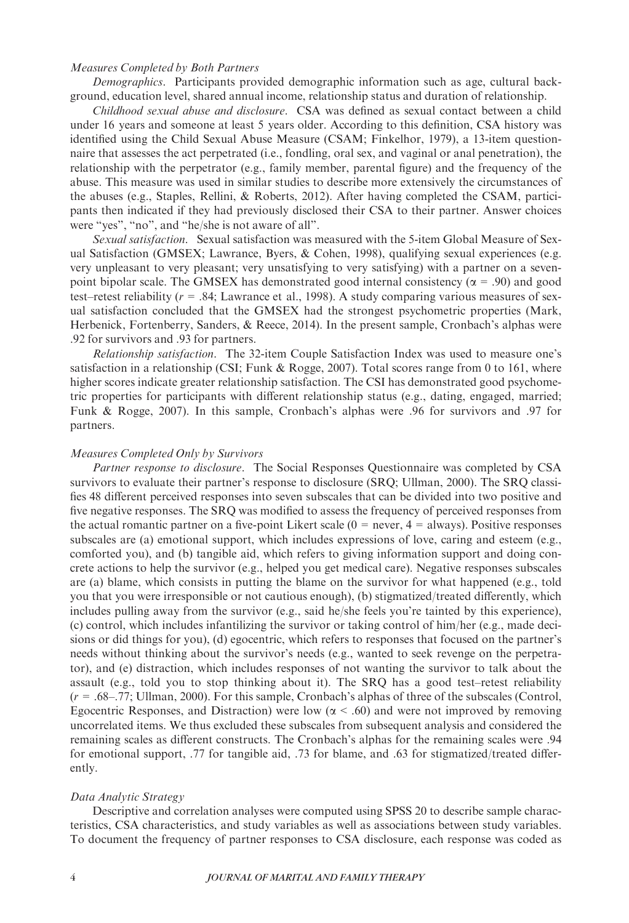# Measures Completed by Both Partners

Demographics. Participants provided demographic information such as age, cultural background, education level, shared annual income, relationship status and duration of relationship.

Childhood sexual abuse and disclosure. CSA was defined as sexual contact between a child under 16 years and someone at least 5 years older. According to this definition, CSA history was identified using the Child Sexual Abuse Measure (CSAM; Finkelhor, 1979), a 13-item questionnaire that assesses the act perpetrated (i.e., fondling, oral sex, and vaginal or anal penetration), the relationship with the perpetrator (e.g., family member, parental figure) and the frequency of the abuse. This measure was used in similar studies to describe more extensively the circumstances of the abuses (e.g., Staples, Rellini, & Roberts, 2012). After having completed the CSAM, participants then indicated if they had previously disclosed their CSA to their partner. Answer choices were "yes", "no", and "he/she is not aware of all".

Sexual satisfaction. Sexual satisfaction was measured with the 5-item Global Measure of Sexual Satisfaction (GMSEX; Lawrance, Byers, & Cohen, 1998), qualifying sexual experiences (e.g. very unpleasant to very pleasant; very unsatisfying to very satisfying) with a partner on a sevenpoint bipolar scale. The GMSEX has demonstrated good internal consistency ( $\alpha$  = .90) and good test–retest reliability  $(r = .84;$  Lawrance et al., 1998). A study comparing various measures of sexual satisfaction concluded that the GMSEX had the strongest psychometric properties (Mark, Herbenick, Fortenberry, Sanders, & Reece, 2014). In the present sample, Cronbach's alphas were .92 for survivors and .93 for partners.

Relationship satisfaction. The 32-item Couple Satisfaction Index was used to measure one's satisfaction in a relationship (CSI; Funk & Rogge, 2007). Total scores range from 0 to 161, where higher scores indicate greater relationship satisfaction. The CSI has demonstrated good psychometric properties for participants with different relationship status (e.g., dating, engaged, married; Funk & Rogge, 2007). In this sample, Cronbach's alphas were .96 for survivors and .97 for partners.

#### Measures Completed Only by Survivors

Partner response to disclosure. The Social Responses Questionnaire was completed by CSA survivors to evaluate their partner's response to disclosure (SRQ; Ullman, 2000). The SRQ classifies 48 different perceived responses into seven subscales that can be divided into two positive and five negative responses. The SRQ was modified to assess the frequency of perceived responses from the actual romantic partner on a five-point Likert scale  $(0 = never, 4 = always)$ . Positive responses subscales are (a) emotional support, which includes expressions of love, caring and esteem (e.g., comforted you), and (b) tangible aid, which refers to giving information support and doing concrete actions to help the survivor (e.g., helped you get medical care). Negative responses subscales are (a) blame, which consists in putting the blame on the survivor for what happened (e.g., told you that you were irresponsible or not cautious enough), (b) stigmatized/treated differently, which includes pulling away from the survivor (e.g., said he/she feels you're tainted by this experience), (c) control, which includes infantilizing the survivor or taking control of him/her (e.g., made decisions or did things for you), (d) egocentric, which refers to responses that focused on the partner's needs without thinking about the survivor's needs (e.g., wanted to seek revenge on the perpetrator), and (e) distraction, which includes responses of not wanting the survivor to talk about the assault (e.g., told you to stop thinking about it). The SRQ has a good test–retest reliability  $(r = .68-.77;$  Ullman, 2000). For this sample, Cronbach's alphas of three of the subscales (Control, Egocentric Responses, and Distraction) were low ( $\alpha$  < .60) and were not improved by removing uncorrelated items. We thus excluded these subscales from subsequent analysis and considered the remaining scales as different constructs. The Cronbach's alphas for the remaining scales were .94 for emotional support, .77 for tangible aid, .73 for blame, and .63 for stigmatized/treated differently.

#### Data Analytic Strategy

Descriptive and correlation analyses were computed using SPSS 20 to describe sample characteristics, CSA characteristics, and study variables as well as associations between study variables. To document the frequency of partner responses to CSA disclosure, each response was coded as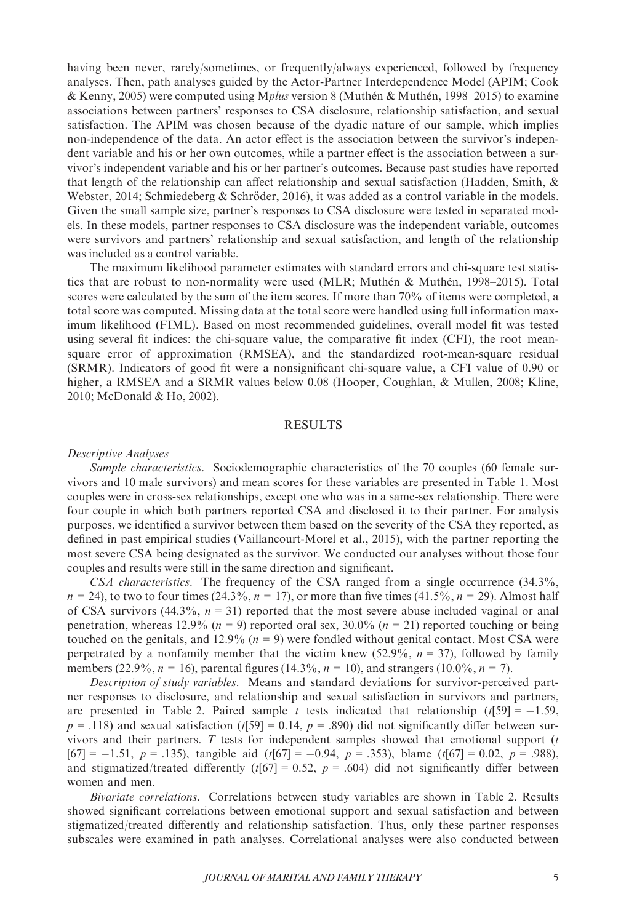having been never, rarely/sometimes, or frequently/always experienced, followed by frequency analyses. Then, path analyses guided by the Actor-Partner Interdependence Model (APIM; Cook & Kenny, 2005) were computed using Mplus version 8 (Muthén & Muthén, 1998–2015) to examine associations between partners' responses to CSA disclosure, relationship satisfaction, and sexual satisfaction. The APIM was chosen because of the dyadic nature of our sample, which implies non-independence of the data. An actor effect is the association between the survivor's independent variable and his or her own outcomes, while a partner effect is the association between a survivor's independent variable and his or her partner's outcomes. Because past studies have reported that length of the relationship can affect relationship and sexual satisfaction (Hadden, Smith,  $\&$ Webster, 2014; Schmiedeberg & Schröder, 2016), it was added as a control variable in the models. Given the small sample size, partner's responses to CSA disclosure were tested in separated models. In these models, partner responses to CSA disclosure was the independent variable, outcomes were survivors and partners' relationship and sexual satisfaction, and length of the relationship was included as a control variable.

The maximum likelihood parameter estimates with standard errors and chi-square test statistics that are robust to non-normality were used (MLR; Muthén & Muthén, 1998–2015). Total scores were calculated by the sum of the item scores. If more than 70% of items were completed, a total score was computed. Missing data at the total score were handled using full information maximum likelihood (FIML). Based on most recommended guidelines, overall model fit was tested using several fit indices: the chi-square value, the comparative fit index (CFI), the root–meansquare error of approximation (RMSEA), and the standardized root-mean-square residual (SRMR). Indicators of good fit were a nonsignificant chi-square value, a CFI value of 0.90 or higher, a RMSEA and a SRMR values below 0.08 (Hooper, Coughlan, & Mullen, 2008; Kline, 2010; McDonald & Ho, 2002).

## RESULTS

#### Descriptive Analyses

Sample characteristics. Sociodemographic characteristics of the 70 couples (60 female survivors and 10 male survivors) and mean scores for these variables are presented in Table 1. Most couples were in cross-sex relationships, except one who was in a same-sex relationship. There were four couple in which both partners reported CSA and disclosed it to their partner. For analysis purposes, we identified a survivor between them based on the severity of the CSA they reported, as defined in past empirical studies (Vaillancourt-Morel et al., 2015), with the partner reporting the most severe CSA being designated as the survivor. We conducted our analyses without those four couples and results were still in the same direction and significant.

CSA characteristics. The frequency of the CSA ranged from a single occurrence (34.3%,  $n = 24$ ), to two to four times (24.3%,  $n = 17$ ), or more than five times (41.5%,  $n = 29$ ). Almost half of CSA survivors (44.3%,  $n = 31$ ) reported that the most severe abuse included vaginal or anal penetration, whereas 12.9% ( $n = 9$ ) reported oral sex, 30.0% ( $n = 21$ ) reported touching or being touched on the genitals, and 12.9% ( $n = 9$ ) were fondled without genital contact. Most CSA were perpetrated by a nonfamily member that the victim knew  $(52.9\%, n = 37)$ , followed by family members (22.9%,  $n = 16$ ), parental figures (14.3%,  $n = 10$ ), and strangers (10.0%,  $n = 7$ ).

Description of study variables. Means and standard deviations for survivor-perceived partner responses to disclosure, and relationship and sexual satisfaction in survivors and partners, are presented in Table 2. Paired sample t tests indicated that relationship  $(t[59] = -1.59$ ,  $p = .118$ ) and sexual satisfaction (t[59] = 0.14,  $p = .890$ ) did not significantly differ between survivors and their partners.  $T$  tests for independent samples showed that emotional support  $(t)$  $[67] = -1.51$ ,  $p = .135$ ), tangible aid (t[67] = -0.94,  $p = .353$ ), blame (t[67] = 0.02,  $p = .988$ ), and stigmatized/treated differently ( $t[67] = 0.52$ ,  $p = .604$ ) did not significantly differ between women and men.

Bivariate correlations. Correlations between study variables are shown in Table 2. Results showed significant correlations between emotional support and sexual satisfaction and between stigmatized/treated differently and relationship satisfaction. Thus, only these partner responses subscales were examined in path analyses. Correlational analyses were also conducted between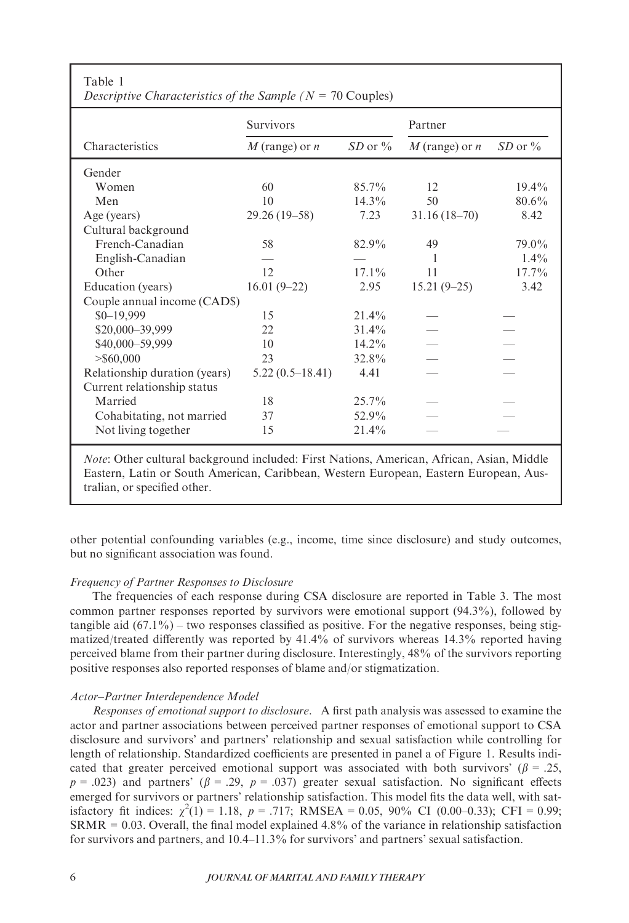| raviv r<br>Descriptive Characteristics of the Sample ( $N = 70$ Couples) |                    |              |                    |              |  |
|--------------------------------------------------------------------------|--------------------|--------------|--------------------|--------------|--|
|                                                                          | <b>Survivors</b>   |              | Partner            |              |  |
| Characteristics                                                          | $M$ (range) or $n$ | $SD$ or $\%$ | $M$ (range) or $n$ | $SD$ or $\%$ |  |
| Gender                                                                   |                    |              |                    |              |  |
| Women                                                                    | 60                 | $85.7\%$     | 12                 | $19.4\%$     |  |
| Men                                                                      | 10                 | $14.3\%$     | 50                 | $80.6\%$     |  |
| Age (years)                                                              | $29.26(19-58)$     | 7.23         | $31.16(18-70)$     | 8.42         |  |
| Cultural background                                                      |                    |              |                    |              |  |
| French-Canadian                                                          | 58                 | 82.9%        | 49                 | 79.0%        |  |
| English-Canadian                                                         |                    |              | 1                  | $1.4\%$      |  |
| Other                                                                    | 12                 | $17.1\%$     | 11                 | $17.7\%$     |  |
| Education (years)                                                        | $16.01(9-22)$      | 2.95         | $15.21(9-25)$      | 3.42         |  |
| Couple annual income (CAD\$)                                             |                    |              |                    |              |  |
| $$0 - 19,999$                                                            | 15                 | $21.4\%$     |                    |              |  |
| \$20,000-39,999                                                          | 22                 | $31.4\%$     |                    |              |  |
| \$40,000-59,999                                                          | 10                 | $14.2\%$     |                    |              |  |
| $>$ \$60,000                                                             | 23                 | 32.8%        |                    |              |  |
| Relationship duration (years)                                            | $5.22(0.5-18.41)$  | 4.41         |                    |              |  |
| Current relationship status                                              |                    |              |                    |              |  |
| Married                                                                  | 18                 | $25.7\%$     |                    |              |  |
| Cohabitating, not married                                                | 37                 | 52.9%        |                    |              |  |
| Not living together                                                      | 15                 | 21.4%        |                    |              |  |

Note: Other cultural background included: First Nations, American, African, Asian, Middle Eastern, Latin or South American, Caribbean, Western European, Eastern European, Australian, or specified other.

other potential confounding variables (e.g., income, time since disclosure) and study outcomes, but no significant association was found.

## Frequency of Partner Responses to Disclosure

Table 1

The frequencies of each response during CSA disclosure are reported in Table 3. The most common partner responses reported by survivors were emotional support (94.3%), followed by tangible aid  $(67.1\%)$  – two responses classified as positive. For the negative responses, being stigmatized/treated differently was reported by 41.4% of survivors whereas 14.3% reported having perceived blame from their partner during disclosure. Interestingly, 48% of the survivors reporting positive responses also reported responses of blame and/or stigmatization.

## Actor–Partner Interdependence Model

Responses of emotional support to disclosure. A first path analysis was assessed to examine the actor and partner associations between perceived partner responses of emotional support to CSA disclosure and survivors' and partners' relationship and sexual satisfaction while controlling for length of relationship. Standardized coefficients are presented in panel a of Figure 1. Results indicated that greater perceived emotional support was associated with both survivors' ( $\beta = .25$ ,  $p = .023$ ) and partners' ( $\beta = .29$ ,  $p = .037$ ) greater sexual satisfaction. No significant effects emerged for survivors or partners' relationship satisfaction. This model fits the data well, with satisfactory fit indices:  $\chi^2(1) = 1.18$ ,  $p = .717$ ; RMSEA = 0.05, 90% CI (0.00–0.33); CFI = 0.99;  $SRMR = 0.03$ . Overall, the final model explained 4.8% of the variance in relationship satisfaction for survivors and partners, and 10.4–11.3% for survivors' and partners' sexual satisfaction.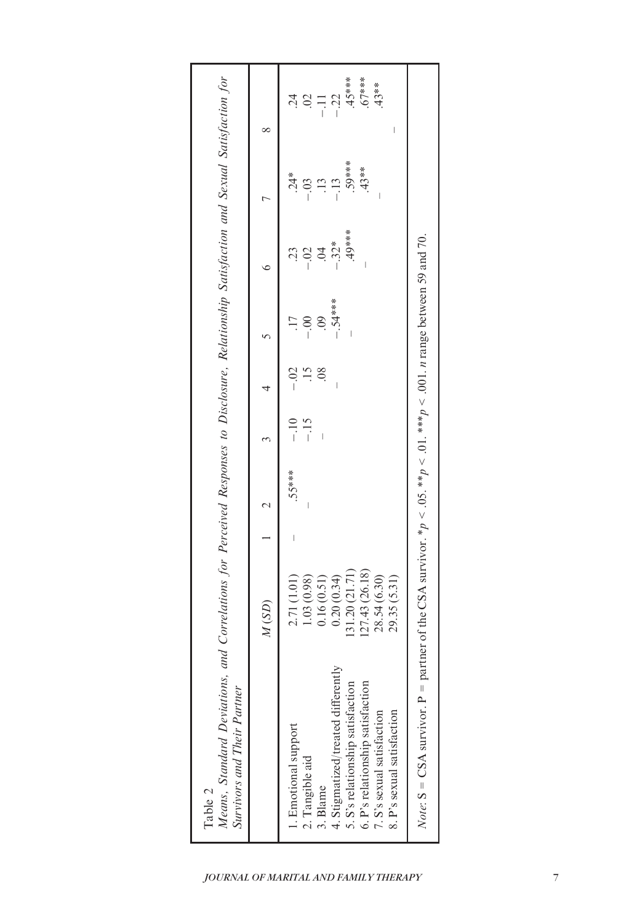| Means, Standard Deviations, and Correlations for Perceived Responses to Disclosure, Relationship Satisfaction and Sexual Satisfaction for<br>Survivors and Their Partner<br>Table 2                                           |                                                                                                                                |        |                |                                          |                                        |                                            |                                                               |                                                                                                |
|-------------------------------------------------------------------------------------------------------------------------------------------------------------------------------------------------------------------------------|--------------------------------------------------------------------------------------------------------------------------------|--------|----------------|------------------------------------------|----------------------------------------|--------------------------------------------|---------------------------------------------------------------|------------------------------------------------------------------------------------------------|
|                                                                                                                                                                                                                               | (SD)                                                                                                                           |        |                |                                          |                                        |                                            |                                                               |                                                                                                |
| 4. Stigmatized/treated differently<br>5. S's relationship satisfaction<br>6. P's relationship satisfaction<br>7. S's sexual satisfaction<br>8. P's sexual satisfaction<br>1. Emotional support<br>2. Tangible aid<br>3. Blame | (31.20(21.71))<br>.43(26.18)<br>0.20(0.34)<br>28.54 (6.30)<br>.35(5.31)<br>2.71 (1.01)<br>.03(0.98)<br>0.16(0.51)<br>127<br>29 | .55*** | $-10$<br>$-15$ | $-0.2$<br>$\frac{5}{1}$<br>$\frac{8}{3}$ | $-.54***$<br>$\ddot{\mathrm{60}}$<br>I | $49***$<br>$-.32*$<br>$-.02$<br>$\ddot{5}$ | 59****<br>$.43**$<br>$.24*$<br>$-13$<br>$-0.03$<br>$\ddot{.}$ | $45***$<br>$67***$<br>$.43**$<br>$-.22$<br>$\ddot{c}$<br>$\overline{0}$<br>$\overline{a}$<br>I |
| $Note: S = CSA$ survivor. $P =$ partner of the N                                                                                                                                                                              | he CSA survivor. * $p < 0.05$ . ** $p < 0.01$ . *** $p < 0.001$ . <i>n</i> range between 59 and 70.                            |        |                |                                          |                                        |                                            |                                                               |                                                                                                |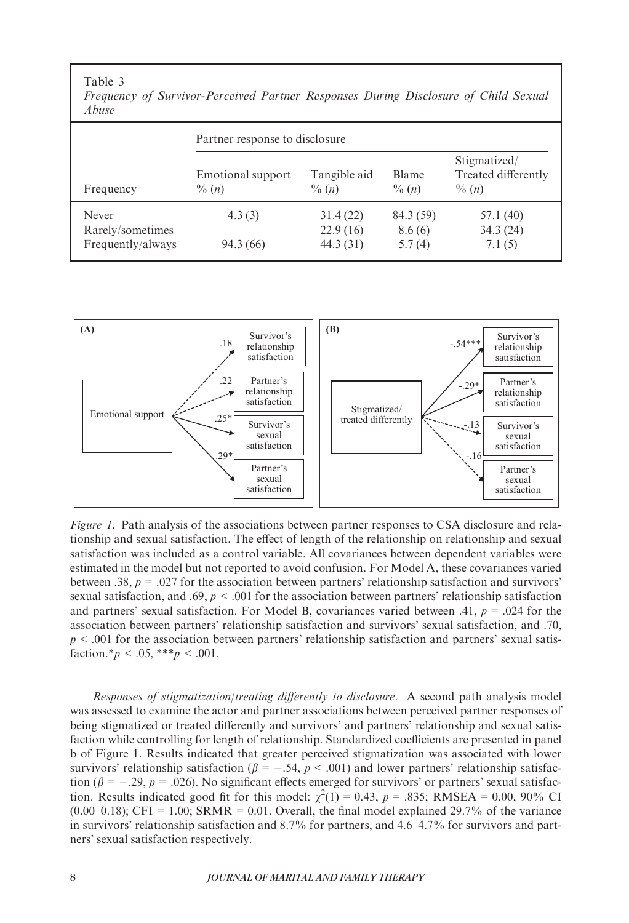#### Table 3

|                                                | Partner response to disclosure |                                  |                               |                                                 |  |
|------------------------------------------------|--------------------------------|----------------------------------|-------------------------------|-------------------------------------------------|--|
| Frequency                                      | Emotional support<br>$\% (n)$  | Tangible aid<br>$\% (n)$         | <b>Blame</b><br>$\% (n)$      | Stigmatized/<br>Treated differently<br>$\% (n)$ |  |
| Never<br>Rarely/sometimes<br>Frequently/always | 4.3(3)<br>94.3 (66)            | 31.4(22)<br>22.9(16)<br>44.3(31) | 84.3 (59)<br>8.6(6)<br>5.7(4) | 57.1 (40)<br>34.3(24)<br>7.1(5)                 |  |

Frequency of Survivor-Perceived Partner Responses During Disclosure of Child Sexual  $Ah \nu \bar{\nu}$ 



Figure 1. Path analysis of the associations between partner responses to CSA disclosure and relationship and sexual satisfaction. The effect of length of the relationship on relationship and sexual satisfaction was included as a control variable. All covariances between dependent variables were estimated in the model but not reported to avoid confusion. For Model A, these covariances varied between .38,  $p = .027$  for the association between partners' relationship satisfaction and survivors' sexual satisfaction, and .69,  $p < .001$  for the association between partners' relationship satisfaction and partners' sexual satisfaction. For Model B, covariances varied between .41,  $p = .024$  for the association between partners' relationship satisfaction and survivors' sexual satisfaction, and .70,  $p < .001$  for the association between partners' relationship satisfaction and partners' sexual satisfaction.\* $p < .05$ ,\*\*\* $p < .001$ .

Responses of stigmatization/treating differently to disclosure. A second path analysis model was assessed to examine the actor and partner associations between perceived partner responses of being stigmatized or treated differently and survivors' and partners' relationship and sexual satisfaction while controlling for length of relationship. Standardized coefficients are presented in panel b of Figure 1. Results indicated that greater perceived stigmatization was associated with lower survivors' relationship satisfaction ( $\beta = -.54$ ,  $p < .001$ ) and lower partners' relationship satisfaction ( $\beta = -.29$ ,  $p = .026$ ). No significant effects emerged for survivors' or partners' sexual satisfaction. Results indicated good fit for this model:  $\chi^2(1) = 0.43$ ,  $p = .835$ ; RMSEA = 0.00, 90% CI  $(0.00-0.18)$ ; CFI = 1.00; SRMR = 0.01. Overall, the final model explained 29.7% of the variance in survivors' relationship satisfaction and 8.7% for partners, and 4.6–4.7% for survivors and partners' sexual satisfaction respectively.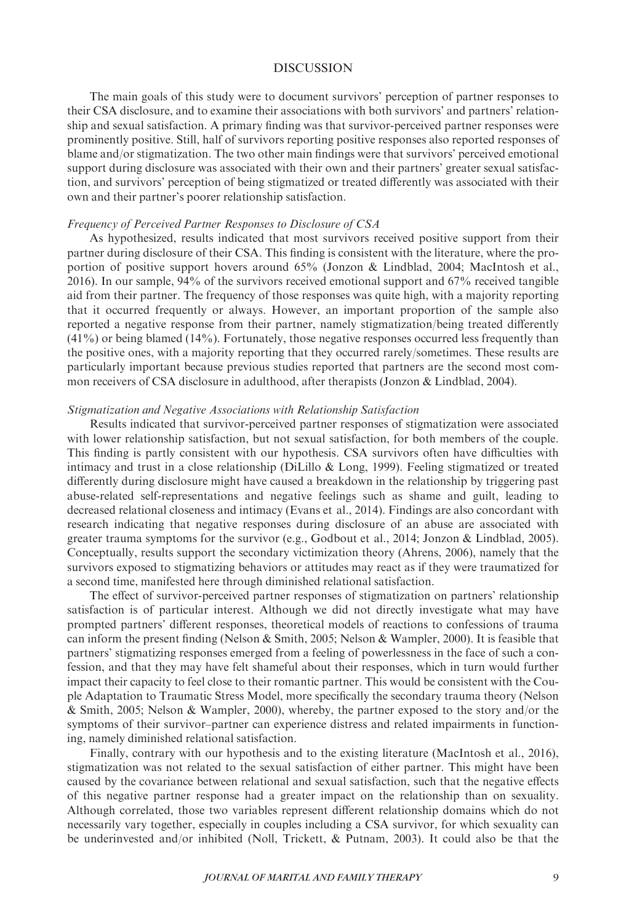## DISCUSSION

The main goals of this study were to document survivors' perception of partner responses to their CSA disclosure, and to examine their associations with both survivors' and partners' relationship and sexual satisfaction. A primary finding was that survivor-perceived partner responses were prominently positive. Still, half of survivors reporting positive responses also reported responses of blame and/or stigmatization. The two other main findings were that survivors' perceived emotional support during disclosure was associated with their own and their partners' greater sexual satisfaction, and survivors' perception of being stigmatized or treated differently was associated with their own and their partner's poorer relationship satisfaction.

#### Frequency of Perceived Partner Responses to Disclosure of CSA

As hypothesized, results indicated that most survivors received positive support from their partner during disclosure of their CSA. This finding is consistent with the literature, where the proportion of positive support hovers around 65% (Jonzon & Lindblad, 2004; MacIntosh et al., 2016). In our sample, 94% of the survivors received emotional support and 67% received tangible aid from their partner. The frequency of those responses was quite high, with a majority reporting that it occurred frequently or always. However, an important proportion of the sample also reported a negative response from their partner, namely stigmatization/being treated differently  $(41%)$  or being blamed  $(14%)$ . Fortunately, those negative responses occurred less frequently than the positive ones, with a majority reporting that they occurred rarely/sometimes. These results are particularly important because previous studies reported that partners are the second most common receivers of CSA disclosure in adulthood, after therapists (Jonzon & Lindblad, 2004).

#### Stigmatization and Negative Associations with Relationship Satisfaction

Results indicated that survivor-perceived partner responses of stigmatization were associated with lower relationship satisfaction, but not sexual satisfaction, for both members of the couple. This finding is partly consistent with our hypothesis. CSA survivors often have difficulties with intimacy and trust in a close relationship (DiLillo & Long, 1999). Feeling stigmatized or treated differently during disclosure might have caused a breakdown in the relationship by triggering past abuse-related self-representations and negative feelings such as shame and guilt, leading to decreased relational closeness and intimacy (Evans et al., 2014). Findings are also concordant with research indicating that negative responses during disclosure of an abuse are associated with greater trauma symptoms for the survivor (e.g., Godbout et al., 2014; Jonzon & Lindblad, 2005). Conceptually, results support the secondary victimization theory (Ahrens, 2006), namely that the survivors exposed to stigmatizing behaviors or attitudes may react as if they were traumatized for a second time, manifested here through diminished relational satisfaction.

The effect of survivor-perceived partner responses of stigmatization on partners' relationship satisfaction is of particular interest. Although we did not directly investigate what may have prompted partners' different responses, theoretical models of reactions to confessions of trauma can inform the present finding (Nelson & Smith, 2005; Nelson & Wampler, 2000). It is feasible that partners' stigmatizing responses emerged from a feeling of powerlessness in the face of such a confession, and that they may have felt shameful about their responses, which in turn would further impact their capacity to feel close to their romantic partner. This would be consistent with the Couple Adaptation to Traumatic Stress Model, more specifically the secondary trauma theory (Nelson & Smith, 2005; Nelson & Wampler, 2000), whereby, the partner exposed to the story and/or the symptoms of their survivor–partner can experience distress and related impairments in functioning, namely diminished relational satisfaction.

Finally, contrary with our hypothesis and to the existing literature (MacIntosh et al., 2016), stigmatization was not related to the sexual satisfaction of either partner. This might have been caused by the covariance between relational and sexual satisfaction, such that the negative effects of this negative partner response had a greater impact on the relationship than on sexuality. Although correlated, those two variables represent different relationship domains which do not necessarily vary together, especially in couples including a CSA survivor, for which sexuality can be underinvested and/or inhibited (Noll, Trickett, & Putnam, 2003). It could also be that the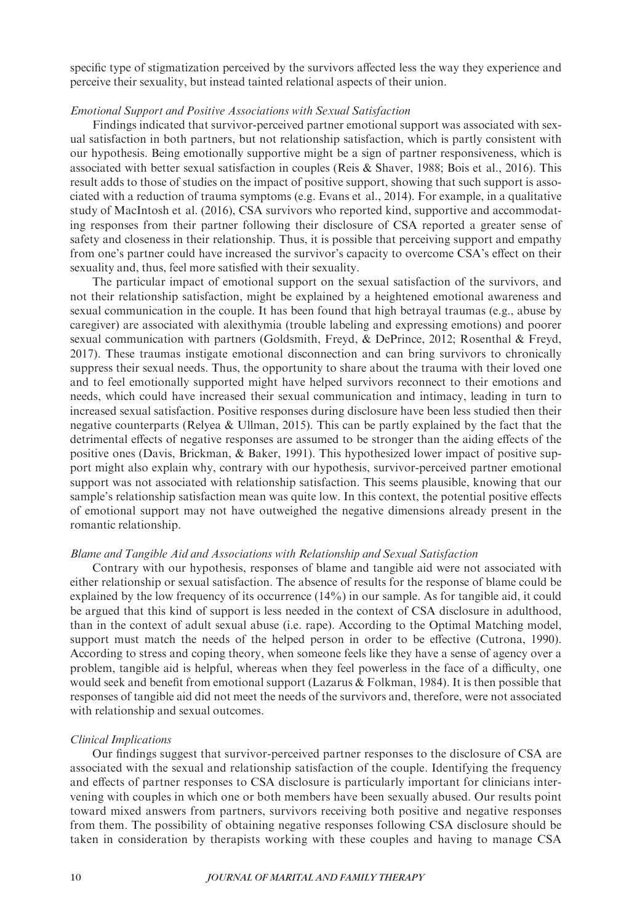specific type of stigmatization perceived by the survivors affected less the way they experience and perceive their sexuality, but instead tainted relational aspects of their union.

## Emotional Support and Positive Associations with Sexual Satisfaction

Findings indicated that survivor-perceived partner emotional support was associated with sexual satisfaction in both partners, but not relationship satisfaction, which is partly consistent with our hypothesis. Being emotionally supportive might be a sign of partner responsiveness, which is associated with better sexual satisfaction in couples (Reis & Shaver, 1988; Bois et al., 2016). This result adds to those of studies on the impact of positive support, showing that such support is associated with a reduction of trauma symptoms (e.g. Evans et al., 2014). For example, in a qualitative study of MacIntosh et al. (2016), CSA survivors who reported kind, supportive and accommodating responses from their partner following their disclosure of CSA reported a greater sense of safety and closeness in their relationship. Thus, it is possible that perceiving support and empathy from one's partner could have increased the survivor's capacity to overcome CSA's effect on their sexuality and, thus, feel more satisfied with their sexuality.

The particular impact of emotional support on the sexual satisfaction of the survivors, and not their relationship satisfaction, might be explained by a heightened emotional awareness and sexual communication in the couple. It has been found that high betrayal traumas (e.g., abuse by caregiver) are associated with alexithymia (trouble labeling and expressing emotions) and poorer sexual communication with partners (Goldsmith, Freyd, & DePrince, 2012; Rosenthal & Freyd, 2017). These traumas instigate emotional disconnection and can bring survivors to chronically suppress their sexual needs. Thus, the opportunity to share about the trauma with their loved one and to feel emotionally supported might have helped survivors reconnect to their emotions and needs, which could have increased their sexual communication and intimacy, leading in turn to increased sexual satisfaction. Positive responses during disclosure have been less studied then their negative counterparts (Relyea & Ullman, 2015). This can be partly explained by the fact that the detrimental effects of negative responses are assumed to be stronger than the aiding effects of the positive ones (Davis, Brickman, & Baker, 1991). This hypothesized lower impact of positive support might also explain why, contrary with our hypothesis, survivor-perceived partner emotional support was not associated with relationship satisfaction. This seems plausible, knowing that our sample's relationship satisfaction mean was quite low. In this context, the potential positive effects of emotional support may not have outweighed the negative dimensions already present in the romantic relationship.

#### Blame and Tangible Aid and Associations with Relationship and Sexual Satisfaction

Contrary with our hypothesis, responses of blame and tangible aid were not associated with either relationship or sexual satisfaction. The absence of results for the response of blame could be explained by the low frequency of its occurrence (14%) in our sample. As for tangible aid, it could be argued that this kind of support is less needed in the context of CSA disclosure in adulthood, than in the context of adult sexual abuse (i.e. rape). According to the Optimal Matching model, support must match the needs of the helped person in order to be effective (Cutrona, 1990). According to stress and coping theory, when someone feels like they have a sense of agency over a problem, tangible aid is helpful, whereas when they feel powerless in the face of a difficulty, one would seek and benefit from emotional support (Lazarus  $&$  Folkman, 1984). It is then possible that responses of tangible aid did not meet the needs of the survivors and, therefore, were not associated with relationship and sexual outcomes.

#### Clinical Implications

Our findings suggest that survivor-perceived partner responses to the disclosure of CSA are associated with the sexual and relationship satisfaction of the couple. Identifying the frequency and effects of partner responses to CSA disclosure is particularly important for clinicians intervening with couples in which one or both members have been sexually abused. Our results point toward mixed answers from partners, survivors receiving both positive and negative responses from them. The possibility of obtaining negative responses following CSA disclosure should be taken in consideration by therapists working with these couples and having to manage CSA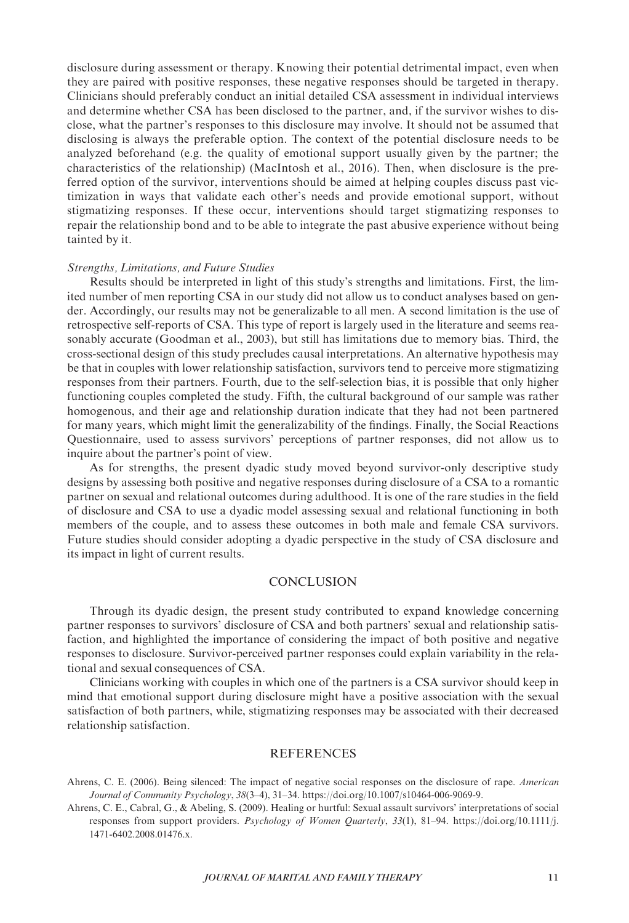disclosure during assessment or therapy. Knowing their potential detrimental impact, even when they are paired with positive responses, these negative responses should be targeted in therapy. Clinicians should preferably conduct an initial detailed CSA assessment in individual interviews and determine whether CSA has been disclosed to the partner, and, if the survivor wishes to disclose, what the partner's responses to this disclosure may involve. It should not be assumed that disclosing is always the preferable option. The context of the potential disclosure needs to be analyzed beforehand (e.g. the quality of emotional support usually given by the partner; the characteristics of the relationship) (MacIntosh et al., 2016). Then, when disclosure is the preferred option of the survivor, interventions should be aimed at helping couples discuss past victimization in ways that validate each other's needs and provide emotional support, without stigmatizing responses. If these occur, interventions should target stigmatizing responses to repair the relationship bond and to be able to integrate the past abusive experience without being tainted by it.

#### Strengths, Limitations, and Future Studies

Results should be interpreted in light of this study's strengths and limitations. First, the limited number of men reporting CSA in our study did not allow us to conduct analyses based on gender. Accordingly, our results may not be generalizable to all men. A second limitation is the use of retrospective self-reports of CSA. This type of report is largely used in the literature and seems reasonably accurate (Goodman et al., 2003), but still has limitations due to memory bias. Third, the cross-sectional design of this study precludes causal interpretations. An alternative hypothesis may be that in couples with lower relationship satisfaction, survivors tend to perceive more stigmatizing responses from their partners. Fourth, due to the self-selection bias, it is possible that only higher functioning couples completed the study. Fifth, the cultural background of our sample was rather homogenous, and their age and relationship duration indicate that they had not been partnered for many years, which might limit the generalizability of the findings. Finally, the Social Reactions Questionnaire, used to assess survivors' perceptions of partner responses, did not allow us to inquire about the partner's point of view.

As for strengths, the present dyadic study moved beyond survivor-only descriptive study designs by assessing both positive and negative responses during disclosure of a CSA to a romantic partner on sexual and relational outcomes during adulthood. It is one of the rare studies in the field of disclosure and CSA to use a dyadic model assessing sexual and relational functioning in both members of the couple, and to assess these outcomes in both male and female CSA survivors. Future studies should consider adopting a dyadic perspective in the study of CSA disclosure and its impact in light of current results.

# **CONCLUSION**

Through its dyadic design, the present study contributed to expand knowledge concerning partner responses to survivors' disclosure of CSA and both partners' sexual and relationship satisfaction, and highlighted the importance of considering the impact of both positive and negative responses to disclosure. Survivor-perceived partner responses could explain variability in the relational and sexual consequences of CSA.

Clinicians working with couples in which one of the partners is a CSA survivor should keep in mind that emotional support during disclosure might have a positive association with the sexual satisfaction of both partners, while, stigmatizing responses may be associated with their decreased relationship satisfaction.

## **REFERENCES**

Ahrens, C. E. (2006). Being silenced: The impact of negative social responses on the disclosure of rape. American Journal of Community Psychology, 38(3–4), 31–34.<https://doi.org/10.1007/s10464-006-9069-9>.

Ahrens, C. E., Cabral, G., & Abeling, S. (2009). Healing or hurtful: Sexual assault survivors' interpretations of social responses from support providers. Psychology of Women Quarterly, 33(1), 81-94. [https://doi.org/10.1111/j.](https://doi.org/10.1111/j.1471-6402.2008.01476.x) [1471-6402.2008.01476.x](https://doi.org/10.1111/j.1471-6402.2008.01476.x).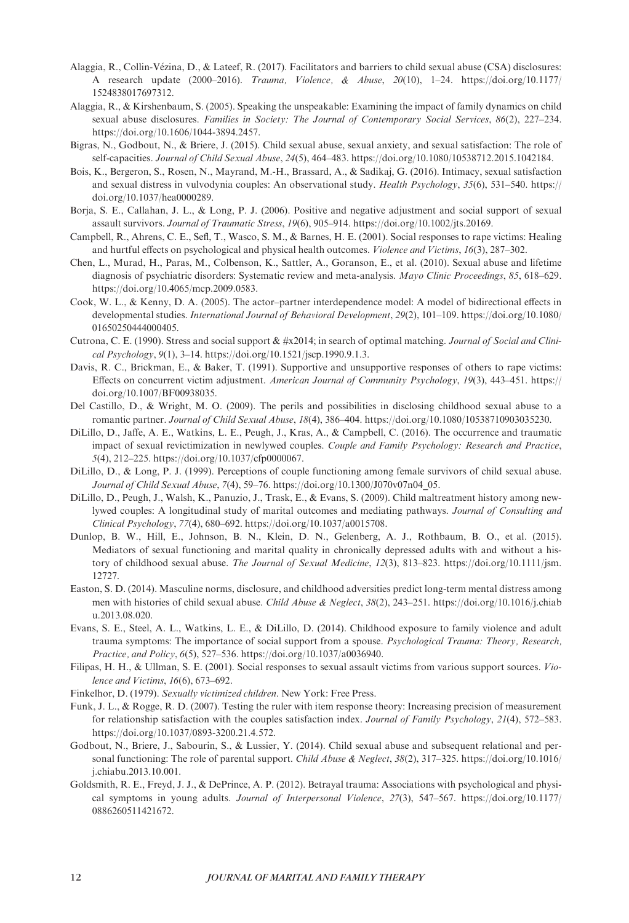- Alaggia, R., Collin-Vezina, D., & Lateef, R. (2017). Facilitators and barriers to child sexual abuse (CSA) disclosures: A research update  $(2000-2016)$ . Trauma, Violence, & Abuse, 20(10), 1-24. [https://doi.org/10.1177/](https://doi.org/10.1177/1524838017697312) [1524838017697312](https://doi.org/10.1177/1524838017697312).
- Alaggia, R., & Kirshenbaum, S. (2005). Speaking the unspeakable: Examining the impact of family dynamics on child sexual abuse disclosures. Families in Society: The Journal of Contemporary Social Services, 86(2), 227-234. [https://doi.org/10.1606/1044-3894.2457.](https://doi.org/10.1606/1044-3894.2457)
- Bigras, N., Godbout, N., & Briere, J. (2015). Child sexual abuse, sexual anxiety, and sexual satisfaction: The role of self-capacities. Journal of Child Sexual Abuse, 24(5), 464–483. [https://doi.org/10.1080/10538712.2015.1042184.](https://doi.org/10.1080/10538712.2015.1042184)
- Bois, K., Bergeron, S., Rosen, N., Mayrand, M.-H., Brassard, A., & Sadikaj, G. (2016). Intimacy, sexual satisfaction and sexual distress in vulvodynia couples: An observational study. Health Psychology, 35(6), 531–540. [https://](https://doi.org/10.1037/hea0000289) [doi.org/10.1037/hea0000289](https://doi.org/10.1037/hea0000289).
- Borja, S. E., Callahan, J. L., & Long, P. J. (2006). Positive and negative adjustment and social support of sexual assault survivors. Journal of Traumatic Stress, 19(6), 905–914.<https://doi.org/10.1002/jts.20169>.
- Campbell, R., Ahrens, C. E., Sefl, T., Wasco, S. M., & Barnes, H. E. (2001). Social responses to rape victims: Healing and hurtful effects on psychological and physical health outcomes. Violence and Victims, 16(3), 287–302.
- Chen, L., Murad, H., Paras, M., Colbenson, K., Sattler, A., Goranson, E., et al. (2010). Sexual abuse and lifetime diagnosis of psychiatric disorders: Systematic review and meta-analysis. Mayo Clinic Proceedings, 85, 618–629. [https://doi.org/10.4065/mcp.2009.0583.](https://doi.org/10.4065/mcp.2009.0583)
- Cook, W. L., & Kenny, D. A. (2005). The actor–partner interdependence model: A model of bidirectional effects in developmental studies. International Journal of Behavioral Development, 29(2), 101–109. [https://doi.org/10.1080/](https://doi.org/10.1080/01650250444000405) [01650250444000405](https://doi.org/10.1080/01650250444000405).
- Cutrona, C. E. (1990). Stress and social support  $\& \#x2014$ ; in search of optimal matching. *Journal of Social and Clini*cal Psychology, 9(1), 3–14.<https://doi.org/10.1521/jscp.1990.9.1.3>.
- Davis, R. C., Brickman, E., & Baker, T. (1991). Supportive and unsupportive responses of others to rape victims: Effects on concurrent victim adjustment. American Journal of Community Psychology, 19(3), 443–451. [https://](https://doi.org/10.1007/BF00938035) [doi.org/10.1007/BF00938035](https://doi.org/10.1007/BF00938035).
- Del Castillo, D., & Wright, M. O. (2009). The perils and possibilities in disclosing childhood sexual abuse to a romantic partner. Journal of Child Sexual Abuse, 18(4), 386–404.<https://doi.org/10.1080/10538710903035230>.
- DiLillo, D., Jaffe, A. E., Watkins, L. E., Peugh, J., Kras, A., & Campbell, C. (2016). The occurrence and traumatic impact of sexual revictimization in newlywed couples. Couple and Family Psychology: Research and Practice, 5(4), 212–225. [https://doi.org/10.1037/cfp0000067.](https://doi.org/10.1037/cfp0000067)
- DiLillo, D., & Long, P. J. (1999). Perceptions of couple functioning among female survivors of child sexual abuse. Journal of Child Sexual Abuse, 7(4), 59–76. [https://doi.org/10.1300/J070v07n04\\_05.](https://doi.org/10.1300/J070v07n04_05)
- DiLillo, D., Peugh, J., Walsh, K., Panuzio, J., Trask, E., & Evans, S. (2009). Child maltreatment history among newlywed couples: A longitudinal study of marital outcomes and mediating pathways. Journal of Consulting and Clinical Psychology, 77(4), 680–692.<https://doi.org/10.1037/a0015708>.
- Dunlop, B. W., Hill, E., Johnson, B. N., Klein, D. N., Gelenberg, A. J., Rothbaum, B. O., et al. (2015). Mediators of sexual functioning and marital quality in chronically depressed adults with and without a history of childhood sexual abuse. The Journal of Sexual Medicine, 12(3), 813–823. [https://doi.org/10.1111/jsm.](https://doi.org/10.1111/jsm.12727) [12727.](https://doi.org/10.1111/jsm.12727)
- Easton, S. D. (2014). Masculine norms, disclosure, and childhood adversities predict long-term mental distress among men with histories of child sexual abuse. Child Abuse & Neglect, 38(2), 243–251. [https://doi.org/10.1016/j.chiab](https://doi.org/10.1016/j.chiabu.2013.08.020) [u.2013.08.020](https://doi.org/10.1016/j.chiabu.2013.08.020).
- Evans, S. E., Steel, A. L., Watkins, L. E., & DiLillo, D. (2014). Childhood exposure to family violence and adult trauma symptoms: The importance of social support from a spouse. Psychological Trauma: Theory, Research, Practice, and Policy, 6(5), 527–536.<https://doi.org/10.1037/a0036940>.
- Filipas, H. H., & Ullman, S. E. (2001). Social responses to sexual assault victims from various support sources. Violence and Victims, 16(6), 673–692.
- Finkelhor, D. (1979). Sexually victimized children. New York: Free Press.
- Funk, J. L., & Rogge, R. D. (2007). Testing the ruler with item response theory: Increasing precision of measurement for relationship satisfaction with the couples satisfaction index. Journal of Family Psychology, 21(4), 572–583. [https://doi.org/10.1037/0893-3200.21.4.572.](https://doi.org/10.1037/0893-3200.21.4.572)
- Godbout, N., Briere, J., Sabourin, S., & Lussier, Y. (2014). Child sexual abuse and subsequent relational and personal functioning: The role of parental support. Child Abuse & Neglect, 38(2), 317–325. [https://doi.org/10.1016/](https://doi.org/10.1016/j.chiabu.2013.10.001) [j.chiabu.2013.10.001](https://doi.org/10.1016/j.chiabu.2013.10.001).
- Goldsmith, R. E., Freyd, J. J., & DePrince, A. P. (2012). Betrayal trauma: Associations with psychological and physical symptoms in young adults. Journal of Interpersonal Violence, 27(3), 547–567. [https://doi.org/10.1177/](https://doi.org/10.1177/0886260511421672) [0886260511421672](https://doi.org/10.1177/0886260511421672).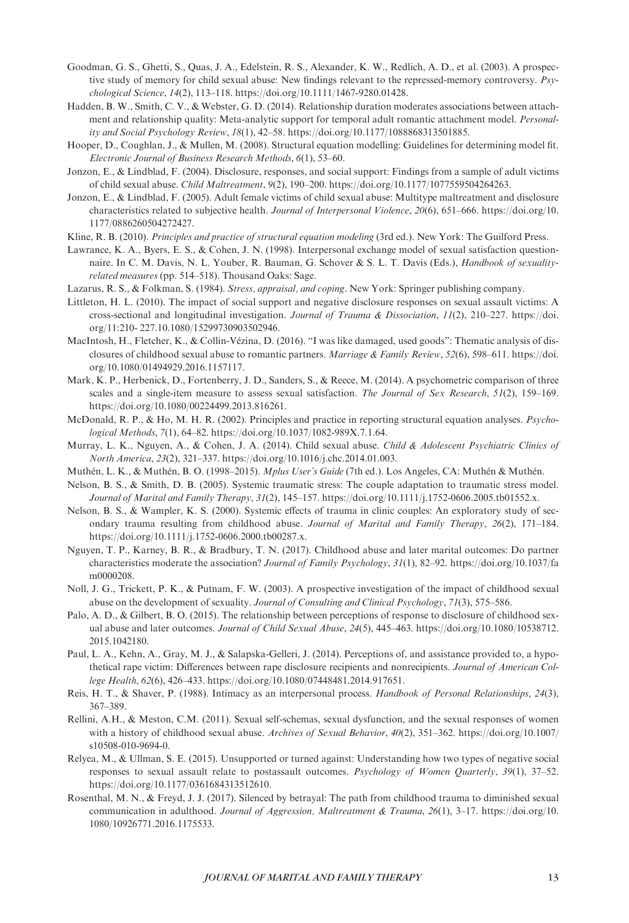- Goodman, G. S., Ghetti, S., Quas, J. A., Edelstein, R. S., Alexander, K. W., Redlich, A. D., et al. (2003). A prospective study of memory for child sexual abuse: New findings relevant to the repressed-memory controversy. Psychological Science, 14(2), 113–118.<https://doi.org/10.1111/1467-9280.01428>.
- Hadden, B. W., Smith, C. V., & Webster, G. D. (2014). Relationship duration moderates associations between attachment and relationship quality: Meta-analytic support for temporal adult romantic attachment model. Personality and Social Psychology Review, 18(1), 42–58. [https://doi.org/10.1177/1088868313501885.](https://doi.org/10.1177/1088868313501885)
- Hooper, D., Coughlan, J., & Mullen, M. (2008). Structural equation modelling: Guidelines for determining model fit. Electronic Journal of Business Research Methods, 6(1), 53–60.
- Jonzon, E., & Lindblad, F. (2004). Disclosure, responses, and social support: Findings from a sample of adult victims of child sexual abuse. Child Maltreatment, 9(2), 190–200. [https://doi.org/10.1177/1077559504264263.](https://doi.org/10.1177/1077559504264263)
- Jonzon, E., & Lindblad, F. (2005). Adult female victims of child sexual abuse: Multitype maltreatment and disclosure characteristics related to subjective health. Journal of Interpersonal Violence, 20(6), 651–666. [https://doi.org/10.](https://doi.org/10.1177/0886260504272427) [1177/0886260504272427.](https://doi.org/10.1177/0886260504272427)
- Kline, R. B. (2010). Principles and practice of structural equation modeling (3rd ed.). New York: The Guilford Press.
- Lawrance, K. A., Byers, E. S., & Cohen, J. N. (1998). Interpersonal exchange model of sexual satisfaction questionnaire. In C. M. Davis, N. L. Youber, R. Bauman, G. Schover & S. L. T. Davis (Eds.), Handbook of sexualityrelated measures (pp. 514–518). Thousand Oaks: Sage.
- Lazarus, R. S., & Folkman, S. (1984). Stress, appraisal, and coping. New York: Springer publishing company.
- Littleton, H. L. (2010). The impact of social support and negative disclosure responses on sexual assault victims: A cross-sectional and longitudinal investigation. Journal of Trauma & Dissociation, 11(2), 210–227. [https://doi.](https://doi.org/11:210- 227.10.1080/15299730903502946) [org/11:210- 227.10.1080/15299730903502946](https://doi.org/11:210- 227.10.1080/15299730903502946).
- MacIntosh, H., Fletcher, K., & Collin-Vézina, D. (2016). "I was like damaged, used goods": Thematic analysis of disclosures of childhood sexual abuse to romantic partners. Marriage & Family Review, 52(6), 598–611. [https://doi.](https://doi.org/10.1080/01494929.2016.1157117) [org/10.1080/01494929.2016.1157117](https://doi.org/10.1080/01494929.2016.1157117).
- Mark, K. P., Herbenick, D., Fortenberry, J. D., Sanders, S., & Reece, M. (2014). A psychometric comparison of three scales and a single-item measure to assess sexual satisfaction. The Journal of Sex Research, 51(2), 159–169. [https://doi.org/10.1080/00224499.2013.816261.](https://doi.org/10.1080/00224499.2013.816261)
- McDonald, R. P., & Ho, M. H. R. (2002). Principles and practice in reporting structural equation analyses. *Psycho*logical Methods, 7(1), 64–82. [https://doi.org/10.1037/1082-989X.7.1.64.](https://doi.org/10.1037/1082-989X.7.1.64)
- Murray, L. K., Nguyen, A., & Cohen, J. A. (2014). Child sexual abuse. Child & Adolescent Psychiatric Clinics of North America, 23(2), 321–337.<https://doi.org/10.1016/j.chc.2014.01.003>.
- Muthén, L. K., & Muthén, B. O. (1998–2015). Mplus User's Guide (7th ed.). Los Angeles, CA: Muthén & Muthén.
- Nelson, B. S., & Smith, D. B. (2005). Systemic traumatic stress: The couple adaptation to traumatic stress model. Journal of Marital and Family Therapy, 31(2), 145–157.<https://doi.org/10.1111/j.1752-0606.2005.tb01552.x>.
- Nelson, B. S., & Wampler, K. S. (2000). Systemic effects of trauma in clinic couples: An exploratory study of secondary trauma resulting from childhood abuse. Journal of Marital and Family Therapy, 26(2), 171–184. [https://doi.org/10.1111/j.1752-0606.2000.tb00287.x.](https://doi.org/10.1111/j.1752-0606.2000.tb00287.x)
- Nguyen, T. P., Karney, B. R., & Bradbury, T. N. (2017). Childhood abuse and later marital outcomes: Do partner characteristics moderate the association? Journal of Family Psychology, 31(1), 82–92. [https://doi.org/10.1037/fa](https://doi.org/10.1037/fam0000208) m0000208
- Noll, J. G., Trickett, P. K., & Putnam, F. W. (2003). A prospective investigation of the impact of childhood sexual abuse on the development of sexuality. Journal of Consulting and Clinical Psychology, 71(3), 575–586.
- Palo, A. D., & Gilbert, B. O. (2015). The relationship between perceptions of response to disclosure of childhood sexual abuse and later outcomes. Journal of Child Sexual Abuse, 24(5), 445–463. [https://doi.org/10.1080/10538712.](https://doi.org/10.1080/10538712.2015.1042180) [2015.1042180](https://doi.org/10.1080/10538712.2015.1042180).
- Paul, L. A., Kehn, A., Gray, M. J., & Salapska-Gelleri, J. (2014). Perceptions of, and assistance provided to, a hypothetical rape victim: Differences between rape disclosure recipients and nonrecipients. Journal of American College Health, 62(6), 426–433.<https://doi.org/10.1080/07448481.2014.917651>.
- Reis, H. T., & Shaver, P. (1988). Intimacy as an interpersonal process. Handbook of Personal Relationships, 24(3), 367–389.
- Rellini, A.H., & Meston, C.M. (2011). Sexual self-schemas, sexual dysfunction, and the sexual responses of women with a history of childhood sexual abuse. Archives of Sexual Behavior, 40(2), 351-362. [https://doi.org/10.1007/](https://doi.org/10.1007/s10508-010-9694-0) [s10508-010-9694-0](https://doi.org/10.1007/s10508-010-9694-0).
- Relyea, M., & Ullman, S. E. (2015). Unsupported or turned against: Understanding how two types of negative social responses to sexual assault relate to postassault outcomes. Psychology of Women Quarterly, 39(1), 37–52. [https://doi.org/10.1177/0361684313512610.](https://doi.org/10.1177/0361684313512610)
- Rosenthal, M. N., & Freyd, J. J. (2017). Silenced by betrayal: The path from childhood trauma to diminished sexual communication in adulthood. Journal of Aggression, Maltreatment & Trauma, 26(1), 3-17. [https://doi.org/10.](https://doi.org/10.1080/10926771.2016.1175533) [1080/10926771.2016.1175533.](https://doi.org/10.1080/10926771.2016.1175533)